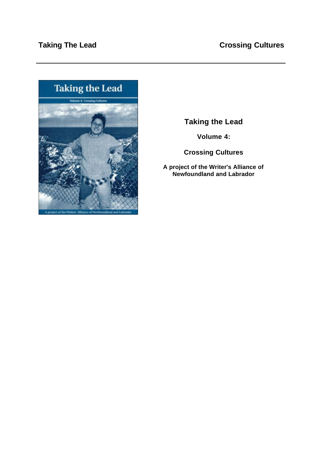

# **Taking the Lead**

**Volume 4:** 

# **Crossing Cultures**

**A project of the Writer's Alliance of Newfoundland and Labrador**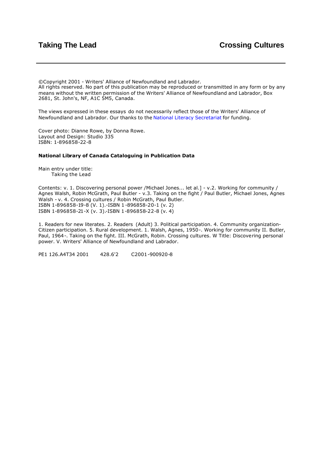©Copyright 2001 - Writers' Alliance of Newfoundland and Labrador. All rights reserved. No part of this publication may be reproduced or transmitted in any form or by any means without the written permission of the Writers' Alliance of Newfoundland and Labrador, Box 2681, St. John's, NF, A1C 5M5, Canada.

The views expressed in these essays do not necessarily reflect those of the Writers' Alliance of Newfoundland and Labrador. Our thanks to the [National Literacy Secretariat](http://www.nald.ca/nls.htm) for funding.

Cover photo: Dianne Rowe, by Donna Rowe. Layout and Design: Studio 335 ISBN: 1-896858-22-8

#### **National Library of Canada Cataloguing in Publication Data**

Main entry under title: Taking the Lead

Contents: v. 1. Discovering personal power /Michael Jones... let al.] - v.2. Working for community / Agnes Walsh, Robin McGrath, Paul Butler - v.3. Taking on the fight / Paul Butler, Michael Jones, Agnes Walsh - v. 4. Crossing cultures / Robin McGrath, Paul Butler. ISBN 1-896858-19-8 (V. 1).-ISBN 1-896858-20-1 (v. 2) ISBN 1-896858-21-X (v. 3).-ISBN 1-896858-22-8 (v. 4)

1. Readers for new literates. 2. Readers (Adult) 3. Political participation. 4. Community organization-Citizen participation. 5. Rural development. 1. Walsh, Agnes, 1950-. Working for community II. Butler, Paul, 1964-. Taking on the fight. III. McGrath, Robin. Crossing cultures. W Title: Discovering personal power. V. Writers' Alliance of Newfoundland and Labrador.

PE1 126.A4T34 2001 428.6'2 C2001-900920-8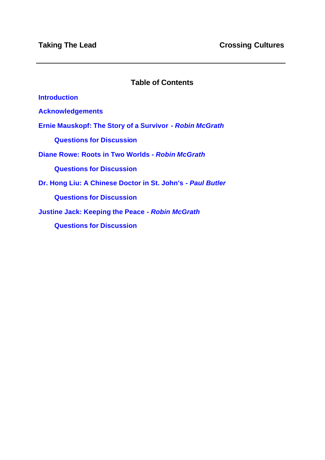# **Table of Contents**

**[Introduction](#page-3-0)**

**[Acknowledgements](#page-4-0)**

**[Ernie Mauskopf: The Story of a Survivor -](#page-5-0)** *Robin McGrath*

**[Questions for Discussion](#page-12-0)**

**[Diane Rowe: Roots in Two Worlds -](#page-14-0)** *Robin McGrath*

**[Questions for Discussion](#page-22-0)**

**[Dr. Hong Liu: A Chinese Doctor in St. John's -](#page-23-0)** *Paul Butler*

**[Questions for Discussion](#page-31-0)**

**[Justine Jack: Keeping the Peace -](#page-33-0)** *Robin McGrath*

**[Questions for Discussion](#page-40-0)**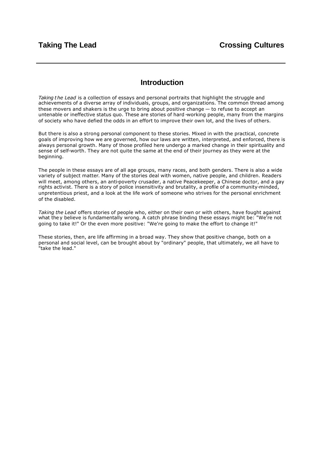## **Introduction**

<span id="page-3-0"></span>*Taking the Lead* is a collection of essays and personal portraits that highlight the struggle and achievements of a diverse array of individuals, groups, and organizations. The common thread among these movers and shakers is the urge to bring about positive change — to refuse to accept an untenable or ineffective status quo. These are stories of hard -working people, many from the margins of society who have defied the odds in an effort to improve their own lot, and the lives of others.

But there is also a strong personal component to these stories. Mixed in with the practical, concrete goals of improving how we are governed, how our laws are written, interpreted, and enforced, there is always personal growth. Many of those profiled here undergo a marked change in their spirituality and sense of self-worth. They are not quite the same at the end of their journey as they were at the beginning.

The people in these essays are of all age groups, many races, and both genders. There is also a wide variety of subject matter. Many of the stories deal with women, native people, and children. Readers will meet, among others, an anti-poverty crusader, a native Peacekeeper, a Chinese doctor, and a gay rights activist. There is a story of police insensitivity and brutality, a profile of a community-minded, unpretentious priest, and a look at the life work of someone who strives for the personal enrichment of the disabled.

*Taking the Lead* offers stories of people who, either on their own or with others, have fought against what the y believe is fundamentally wrong. A catch phrase binding these essays might be: "We're not going to take it!" Or the even more positive: "We're going to make the effort to change it!"

These stories, then, are life affirming in a broad way. They show that positive change, both on a personal and social level, can be brought about by "ordinary" people, that ultimately, we all have to "take the lead."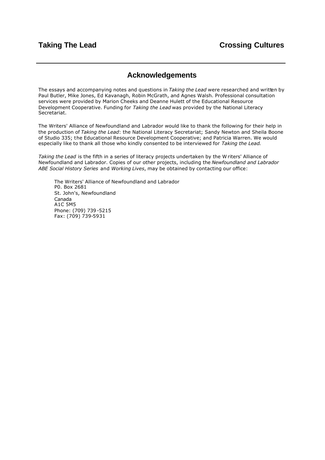## **Acknowledgements**

<span id="page-4-0"></span>The essays and accompanying notes and questions in *Taking the Lead* were researched and written by Paul Butler, Mike Jones, Ed Kavanagh, Robin McGrath, and Agnes Walsh. Professional consultation services were provided by Marion Cheeks and Deanne Hulett of the Educational Resource Development Cooperative. Funding for *Taking the Lead* was provided by the National Literacy Secretariat.

The Writers' Alliance of Newfoundland and Labrador would like to thank the following for their help in the production of *Taking the Lead*: the National Literacy Secretariat; Sandy Newton and Sheila Boone of Studio 335; the Educational Resource Development Cooperative; and Patricia Warren. We would especially like to thank all those who kindly consented to be interviewed for *Taking the Lead*.

*Taking the Lead* is the fifth in a series of literacy projects undertaken by the W riters' Alliance of Newfoundland and Labrador. Copies of our other projects, including the *Newfoundland and Labrador ABE Social History Series* and *Working Lives*, may be obtained by contacting our office:

The Writers' Alliance of Newfoundland and Labrador P0. Box 2681 St. John's, Newfoundland Canada A1C 5M5 Phone: (709) 739 -5215 Fax: (709) 739-5931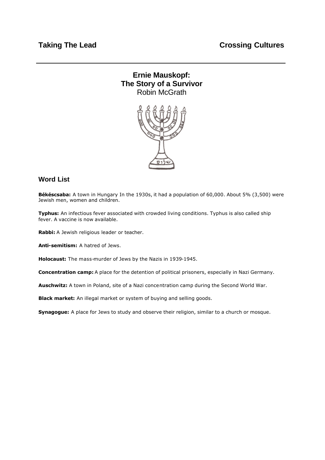# <span id="page-5-0"></span>**Ernie Mauskopf: The Story of a Survivor** Robin McGrath



# **Word List**

**Békéscsaba:** A town in Hungary In the 1930s, it had a population of 60,000. About 5% (3,500) were Jewish men, women and children.

**Typhus:** An infectious fever associated with crowded living conditions. Typhus is also called ship fever. A vaccine is now available.

**Rabbi:** A Jewish religious leader or teacher.

**Anti-semitism:** A hatred of Jews.

**Holocaust:** The mass-murder of Jews by the Nazis in 1939-1945.

**Concentration camp:** A place for the detention of political prisoners, especially in Nazi Germany.

**Auschwitz:** A town in Poland, site of a Nazi concentration camp during the Second World War.

**Black market:** An illegal market or system of buying and selling goods.

**Synagogue:** A place for Jews to study and observe their religion, similar to a church or mosque.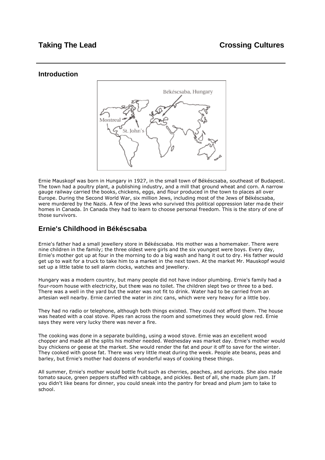### **Introduction**



Ernie Mauskopf was born in Hungary in 1927, in the small town of Békéscsaba, southeast of Budapest. The town had a poultry plant, a publishing industry, and a mill that ground wheat and corn. A narrow gauge railway carried the books, chickens, eggs, and flour produced in the town to places all over Europe. During the Second World War, six million Jews, including most of the Jews of Békéscsaba, were murdered by the Nazis. A few of the Jews who survived this political oppression later ma de their homes in Canada. In Canada they had to learn to choose personal freedom. This is the story of one of those survivors.

## **Ernie's Childhood in Békéscsaba**

Ernie's father had a small jewellery store in Békéscsaba. His mother was a homemaker. There were nine children in the family; the three oldest were girls and the six youngest were boys. Every day, Ernie's mother got up at four in the morning to do a big wash and hang it out to dry. His father would get up to wait for a truck to take him to a market in the next town. At the market Mr. Mauskopf would set up a little table to sell alarm clocks, watches and jewellery.

Hungary was a modern country, but many people did not have indoor plumbing. Ernie's family had a four-room house with electricity, but there was no toilet. The children slept two or three to a bed. There was a well in the yard but the water was not fit to drink. Water had to be carried from an artesian well nearby. Ernie carried the water in zinc cans, which were very heavy for a little boy.

They had no radio or telephone, although both things existed. They could not afford them. The house was heated with a coal stove. Pipes ran across the room and sometimes they would glow red. Ernie says they were very lucky there was never a fire.

The cooking was done in a separate building, using a wood stove. Ernie was an excellent wood chopper and made all the splits his mother needed. Wednesday was market day. Ernie's mother would buy chickens or geese at the market. She would render the fat and pour it off to save for the winter. They cooked with goose fat. There was very little meat during the week. People ate beans, peas and barley, but Ernie's mother had dozens of wonderful ways of cooking these things.

All summer, Ernie's mother would bottle fruit such as cherries, peaches, and apricots. She also made tomato sauce, green peppers stuffed with cabbage, and pickles. Best of all, she made plum jam. If you didn't like beans for dinner, you could sneak into the pantry for bread and plum jam to take to school.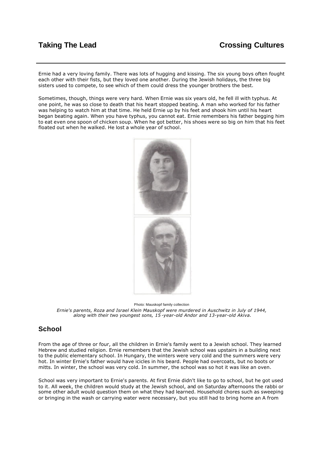Ernie had a very loving family. There was lots of hugging and kissing. The six young boys often fought each other with their fists, but they loved one another. During the Jewish holidays, the three big sisters used to compete, to see which of them could dress the younger brothers the best.

Sometimes, though, things were very hard. When Ernie was six years old, he fell ill with typhus. At one point, he was so close to death that his heart stopped beating. A man who worked for his father was helping to watch him at that time. He held Ernie up by his feet and shook him until his heart began beating again. When you have typhus, you cannot eat. Ernie remembers his father begging him to eat even one spoon of chicken soup. When he got better, his shoes were so big on him that his feet floated out when he walked. He lost a whole year of school.



Photo: Mauskopf family collection *Ernie's parents, Roza and Israel Klein Mauskopf were murdered in Auschwitz in July of 1944, along with their two youngest sons, 15 -year-old Andor and 13-year-old Akiva.*

## **School**

From the age of three or four, all the children in Ernie's family went to a Jewish school. They learned Hebrew and studied religion. Ernie remembers that the Jewish school was upstairs in a building next to the public elementary school. In Hungary, the winters were very cold and the summers were very hot. In winter Ernie's father would have icicles in his beard. People had overcoats, but no boots or mitts. In winter, the school was very cold. In summer, the school was so hot it was like an oven.

School was very important to Ernie's parents. At first Ernie didn't like to go to school, but he got used to it. All week, the children would study at the Jewish school, and on Saturday afternoons the rabbi or some other adult would question them on what they had learned. Household chores such as sweeping or bringing in the wash or carrying water were necessary, but you still had to bring home an A from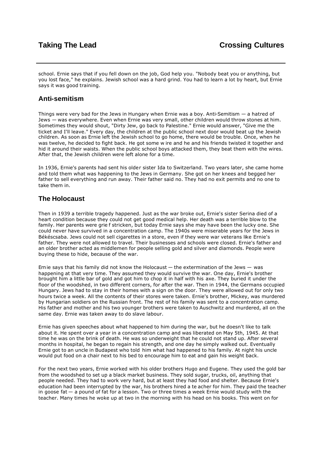school. Ernie says that if you fell down on the job, God help you. "Nobody beat you or anything, but you lost face," he explains. Jewish school was a hard grind. You had to learn a lot by heart, but Ernie says it was good training.

### **Anti-semitism**

Things were very bad for the Jews in Hungary when Ernie was a boy. Anti-Semitism — a hatred of Jews — was everywhere. Even when Ernie was very small, other children would throw stones at him. Sometimes they would shout, "Dirty Jew, go back to Palestine." Ernie would answer, "Give me the ticket and I'll leave." Every day, the children at the public school next door would beat up the Jewish children. As soon as Ernie left the Jewish school to go home, there would be trouble. Once, when he was twelve, he decided to fight back. He got some w ire and he and his friends twisted it together and hid it around their waists. When the public school boys attacked them, they beat them with the wires. After that, the Jewish children were left alone for a time.

In 1936, Ernie's parents had sent his older sister Ida to Switzerland. Two years later, she came home and told them what was happening to the Jews in Germany. She got on her knees and begged her father to sell everything and run away. Their father said no. They had no exit permits and no one to take them in.

## **The Holocaust**

Then in 1939 a terrible tragedy happened. Just as the war broke out, Ernie's sister Serina died of a heart condition because they could not get good medical help. Her death was a terrible blow to the family. Her parents were grie f stricken, but today Ernie says she may have been the lucky one. She could never have survived in a concentration camp. The 1940s were miserable years for the Jews in Békéscsaba. Jews could not sell cigarettes in a store, even if they were war veterans like Ernie's father. They were not allowed to travel. Their businesses and schools were closed. Ernie's father and an older brother acted as middlemen for people selling gold and silver and diamonds. People were buying these to hide, because of the war.

Ernie says that his family did not know the Holocaust  $-$  the extermination of the Jews  $-$  was happening at that very time. They assumed they would survive the war. One day, Ernie's brother brought him a little bar of gold and got him to chop it in half with his axe. They buried it under the floor of the woodshed, in two different corners, for after the war. Then in 1944, the Germans occupied Hungary. Jews had to stay in their homes with a sign on the door. They were allowed out for only two hours twice a week. All the contents of their stores were taken. Ernie's brother, Mickey, was murdered by Hungarian soldiers on the Russian front. The rest of his family was sent to a concentration camp. His father and mother and his two younger brothers were taken to Auschwitz and murdered, all on the same day. Ernie was taken away to do slave labour.

Ernie has given speeches about what happened to him during the war, but he doesn't like to talk about it. He spent over a year in a concentration camp and was liberated on May 5th, 1945. At that time he was on the brink of death. He was so underweight that he could not stand up. After several months in hospital, he began to regain his strength, and one day he simply walked out. Eventually Ernie got to an uncle in Budapest who told him what had happened to his family. At night his uncle would put food on a chair next to his bed to encourage him to eat and gain his weight back.

For the next two years, Ernie worked with his older brothers Hugo and Eugene. They used the gold bar from the woodshed to set up a black market business. They sold sugar, trucks, oil, anything that people needed. They had to work very hard, but at least they had food and shelter. Because Ernie's education had been interrupted by the war, his brothers hired a te acher for him. They paid the teacher in goose fat — a pound of fat for a lesson. Two or three times a week Ernie would study with the teacher. Many times he woke up at two in the morning with his head on his books. This went on for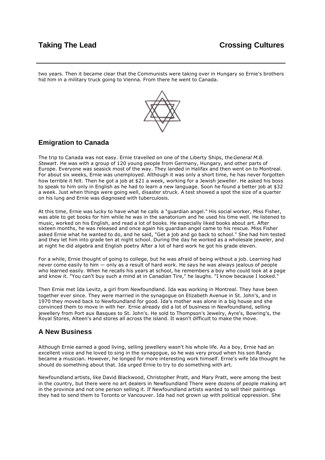two years. Then it became clear that the Communists were taking over in Hungary so Ernie's brothers hid him in a military truck going to Vienna. From there he went to Canada.



## **Emigration to Canada**

The trip to Canada was not easy. Ernie travelled on one of the Liberty Ships, the *General M.B. Stewart*. He was with a group of 120 young people from Germany, Hungary, and other parts of Europe. Everyone was seasick most of the way. They landed in Halifax and then went on to Montreal. For about six weeks, Ernie was unemployed. Although it was only a short time, he has never forgotten how terrible it felt. Then he got a job at \$21 a week, working for a Jewish jeweller. He asked his boss to speak to him only in English as he had to learn a new language. Soon he found a better job at \$32 a week. Just when things were going well, disaster struck. A test showed a spot the size of a quarter on his lung and Ernie was diagnosed with tuberculosis.

At this time, Ernie was lucky to have what he calls a "guardian angel." His social worker, Miss Fisher, was able to get books for him while he was in the sanatorium and he used his time well. He listened to music, worked on his English, and read a lot of books. He especially liked books about art. After sixteen months, he was released and once again his guardian angel came to his rescue. Miss Fisher asked Ernie what he wanted to do, and he said, "Get a job and go back to school." She had him tested and they let him into grade ten at night school. During the day he worked as a wholesale jeweler, and at night he did algebra and English poetry After a lot of hard work he got his grade eleven.

For a while, Ernie thought of going to college, but he was afraid of being without a job. Learning had never come easily to him — only as a result of hard work. He says he was always jealous of people who learned easily. When he recalls his years at school, he remembers a boy who could look at a page and know it. "You can't buy such a mind at in Canadian Tire," he laughs. "I know because I looked."

Then Ernie met Ida Levitz, a girl from Newfoundland. Ida was working in Montreal. They have been together ever since. They were married in the synagogue on Elizabeth Avenue in St. John's, and in 1970 they moved back to Newfoundland for good. Ida's mother was alone in a big house and she convinced them to move in with her. Ernie already did a lot of business in Newfoundland, selling jewellery from Port aux Basques to St. John's. He sold to Thompson's Jewelry, Ayre's, Bowring's, the Royal Stores, Alteen's and stores all across the island. It wasn't difficult to make the move.

## **A New Business**

Although Ernie earned a good living, selling jewellery wasn't his whole life. As a boy, Ernie had an excellent voice and he loved to sing in the synagogue, so he was very proud when his son Randy became a musician. However, he longed for more interesting work himself. Ernie's wife Ida thought he should do something about that. Ida urged Ernie to try to do something with art.

Newfoundland artists, like David Blackwood, Christopher Pratt, and Mary Pratt, were among the best in the country, but there were no art dealers in Newfoundland There were dozens of people making art in the province and not one person selling it. If Newfoundland artists wanted to sell their paintings they had to send them to Toronto or Vancouver. Ida had not grown up with political oppression. She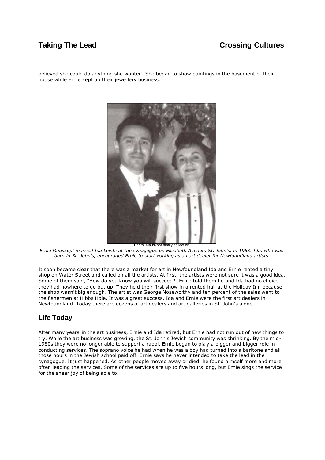# **Taking The Lead Crossing Cultures**

believed she could do anything she wanted. She began to show paintings in the basement of their house while Ernie kept up their jewellery business.



*Ernie Mauskopf married Ida Levitz at the synagogue on Elizabeth Avenue, St. John's, in 1963. Ida, who was born in St. John's, encouraged Ernie to start working as an art dealer for Newfoundland artists.*

It soon became clear that there was a market for art in Newfoundland Ida and Ernie rented a tiny shop on Water Street and called on all the artists. At first, the artists were not sure it was a good idea. Some of them said, "How do you know you will succeed?" Ernie told them he and Ida had no choice they had nowhere to go but up. They held their first show in a rented hail at the Holiday Inn because the shop wasn't big enough. The artist was George Noseworthy and ten percent of the sales went to the fishermen at Hibbs Hole. It was a great success. Ida and Ernie were the first art dealers in Newfoundland. Today there are dozens of art dealers and art galleries in St. John's alone.

## **Life Today**

After many years in the art business, Ernie and Ida retired, but Ernie had not run out of new things to try. While the art business was growing, the St. John's Jewish community was shrinking. By the mid-1980s they were no longer able to support a rabbi. Ernie began to pla y a bigger and bigger role in conducting services. The soprano voice he had when he was a boy had turned into a baritone and all those hours in the Jewish school paid off. Ernie says he never intended to take the lead in the synagogue. It just happened. As other people moved away or died, he found himself more and more often leading the services. Some of the services are up to five hours long, but Ernie sings the service for the sheer joy of being able to.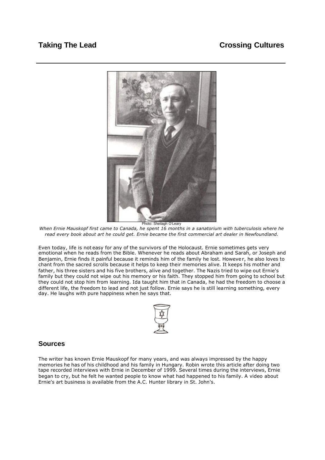

*When Ernie Mauskopf first came to Canada, he spent 16 months in a sanatorium with tuberculosis where he read every book about art he could get. Ernie became the first commercial art dealer in Newfoundland.*

Even today, life is not easy for any of the survivors of the Holocaust. Ernie sometimes gets very emotional when he reads from the Bible. Whenever he reads about Abraham and Sarah, or Joseph and Benjamin, Ernie finds it painful because it reminds him of the family he lost. Howeve r, he also loves to chant from the sacred scrolls because it helps to keep their memories alive. It keeps his mother and father, his three sisters and his five brothers, alive and together. The Nazis tried to wipe out Ernie's family but they could not wipe out his memory or his faith. They stopped him from going to school but they could not stop him from learning. Ida taught him that in Canada, he had the freedom to choose a different life, the freedom to lead and not just follow. Ernie says he is still learning something, every day. He laughs with pure happiness when he says that.



### **Sources**

The writer has known Ernie Mauskopf for many years, and was always impressed by the happy memories he has of his childhood and his family in Hungary. Robin wrote this article after doing two tape recorded interviews with Ernie in December of 1999. Several times during the interviews, Ernie began to cry, but he felt he wanted people to know what had happened to his family. A video about Ernie's art business is available from the A.C. Hunter library in St. John's.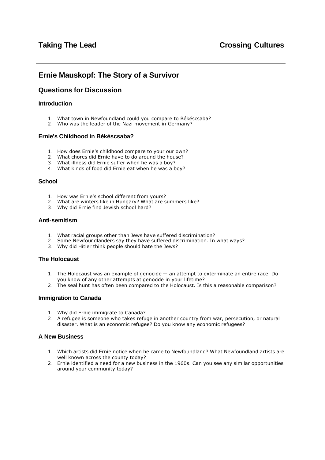## <span id="page-12-0"></span>**Ernie Mauskopf: The Story of a Survivor**

### **Questions for Discussion**

#### **Introduction**

- 1. What town in Newfoundland could you compare to Békéscsaba?
- 2. Who was the leader of the Nazi movement in Germany?

#### **Ernie's Childhood in Békéscsaba?**

- 1. How does Ernie's childhood compare to your our own?
- 2. What chores did Ernie have to do around the house?
- 3. What illness did Ernie suffer when he was a boy?
- 4. What kinds of food did Ernie eat when he was a boy?

#### **School**

- 1. How was Ernie's school different from yours?
- 2. What are winters like in Hungary? What are summers like?
- 3. Why did Ernie find Jewish school hard?

#### **Anti-semitism**

- 1. What racial groups other than Jews have suffered discrimination?
- 2. Some Newfoundlanders say they have suffered discrimination. In what ways?
- 3. Why did Hitler think people should hate the Jews?

#### **The Holocaust**

- 1. The Holocaust was an example of genocide an attempt to exterminate an entire race. Do you know of any other attempts at genodde in your lifetime?
- 2. The seal hunt has often been compared to the Holocaust. Is this a reasonable comparison?

#### **Immigration to Canada**

- 1. Why did Ernie immigrate to Canada?
- 2. A refugee is someone who takes refuge in another country from war, persecution, or natural disaster. What is an economic refugee? Do you know any economic refugees?

#### **A New Business**

- 1. Which artists did Ernie notice when he came to Newfoundland? What Newfoundland artists are well known across the county today?
- 2. Ernie identified a need for a new business in the 1960s. Can you see any similar opportunities around your community today?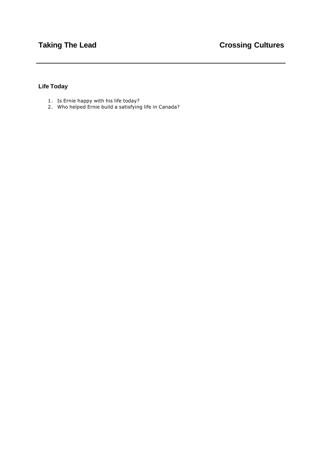## **Life Today**

- 1. Is Ernie happy with his life today?
- 2. Who helped Ernie build a satisfying life in Canada?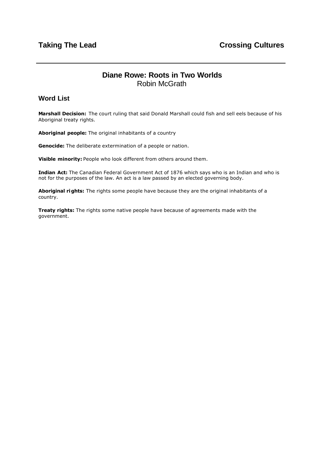# **Diane Rowe: Roots in Two Worlds** Robin McGrath

## <span id="page-14-0"></span>**Word List**

**Marshall Decision:** The court ruling that said Donald Marshall could fish and sell eels because of his Aboriginal treaty rights.

**Aboriginal people:** The original inhabitants of a country

**Genocide:** The deliberate extermination of a people or nation.

**Visible minority:** People who look different from others around them.

**Indian Act:** The Canadian Federal Government Act of 1876 which says who is an Indian and who is not for the purposes of the law. An act is a law passed by an elected governing body.

**Aboriginal rights:** The rights some people have because they are the original inhabitants of a country.

**Treaty rights:** The rights some native people have because of agreements made with the government.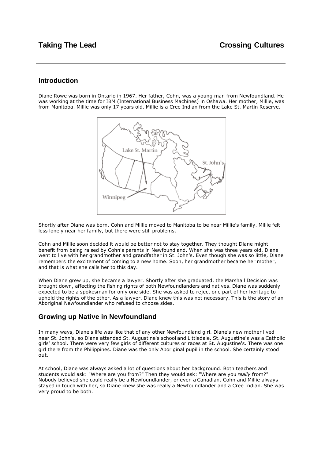### **Introduction**

Diane Rowe was born in Ontario in 1967. Her father, Cohn, was a young man from Newfoundland. He was working at the time for IBM (International Business Machines) in Oshawa. Her mother, Millie, was from Manitoba. Millie was only 17 years old. Millie is a Cree Indian from the Lake St. Martin Reserve.



Shortly after Diane was born, Cohn and Millie moved to Manitoba to be near Millie's family. Millie felt less lonely near her family, but there were still problems.

Cohn and Millie soon decided it would be better not to stay together. They thought Diane might benefit from being raised by Cohn's parents in Newfoundland. When she was three years old, Diane went to live with her grandmother and grandfather in St. John's. Even though she was so little, Diane remembers the excitement of coming to a new home. Soon, her grandmother became her mother, and that is what she calls her to this day.

When Diane grew up, she became a lawyer. Shortly after she graduated, the Marshall Decision was brought down, affecting the fishing rights of both Newfoundlanders and natives. Diane was suddenly expected to be a spokesman for only one side. She was asked to reject one part of her heritage to uphold the rights of the other. As a lawyer, Diane knew this was not necessary. This is the story of an Aboriginal Newfoundlander who refused to choose sides.

### **Growing up Native in Newfoundland**

In many ways, Diane's life was like that of any other Newfoundland girl. Diane's new mother lived near St. John's, so Diane attended St. Augustine's school and Littledale. St. Augustine's was a Catholic girls' school. There were very few girls of different cultures or races at St. Augustine's. There was one girl there from the Philippines. Diane was the only Aboriginal pupil in the school. She certainly stood out.

At school, Diane was always asked a lot of questions about her background. Both teachers and students would ask: "Where are you from?" Then they would ask: "Where are you *really* from?" Nobody believed she could really be a Newfoundlander, or even a Canadian. Cohn and Millie always stayed in touch with her, so Diane knew she was really a Newfoundlander and a Cree Indian. She was very proud to be both.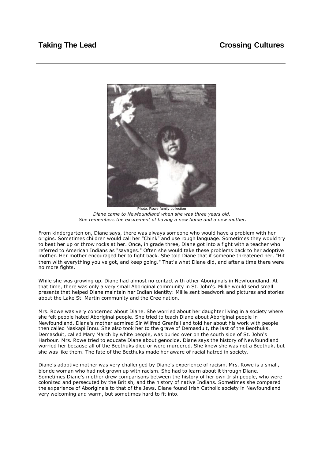

*Diane came to Newfoundland when she was three years old. She remembers the excitement of having a new home and a new mother.*

From kindergarten on, Diane says, there was always someone who would have a problem with her origins. Sometimes children would call her "Chink" and use rough language. Sometimes they would try to beat her up or throw rocks at her. Once, in grade three, Diane got into a fight with a teacher who referred to American Indians as "savages." Often she would take these problems back to her adoptive mother. Her mother encouraged her to fight back. She told Diane that if someone threatened her, "Hit them with everything you've got, and keep going." That's what Diane did, and after a time there were no more fights.

While she was growing up, Diane had almost no contact with other Aboriginals in Newfoundland. At that time, there was only a very small Aboriginal community in St. John's. Millie would send small presents that helped Diane maintain her Indian identity: Millie sent beadwork and pictures and stories about the Lake St. Martin community and the Cree nation.

Mrs. Rowe was very concerned about Diane. She worried about her daughter living in a society where she felt people hated Aboriginal people. She tried to teach Diane about Aboriginal people in Newfoundland. Diane's mother admired Sir Wilfred Grenfell and told her about his work with people then called Naskapi Innu. She also took her to the grave of Demasduit, the last of the Beothuks. Demasduit, called Mary March by white people, was buried over on the south side of St. John's Harbour. Mrs. Rowe tried to educate Diane about genocide. Diane says the history of Newfoundland worried her because all of the Beothuks died or were murdered. She knew she was not a Beothuk, but she was like them. The fate of the Beothuks made her aware of racial hatred in society.

Diane's adoptive mother was very challenged by Diane's experience of racism. Mrs. Rowe is a small, blonde woman who had not grown up with racism. She had to learn about it through Diane. Sometimes Diane's mother drew comparisons between the history of her own Irish people, who were colonized and persecuted by the British, and the history of native Indians. Sometimes she compared the experience of Aboriginals to that of the Jews. Diane found Irish Catholic society in Newfoundland very welcoming and warm, but sometimes hard to fit into.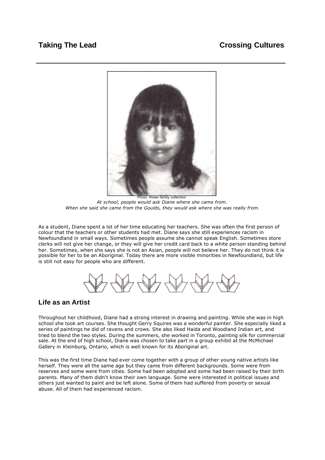

Photo: Rowe family collection *At school, people would ask Diane where she came from. When she said she came from the Goulds, they would ask where she was really from.*

As a student, Diane spent a lot of her time educating her teachers. She was often the first person of colour that the teachers or other students had met. Diane says she still experiences racism in Newfoundland in small ways. Sometimes people assume she cannot speak English. Sometimes store clerks will not give her change, or they will give her credit card back to a white person standing behind her. Sometimes, when she says she is not an Asian, people will not believe her. They do not think it is possible for her to be an Aboriginal. Today there are more visible minorities in Newfoundland, but life is still not easy for people who are different.

### **Life as an Artist**

Throughout her childhood, Diane had a strong interest in drawing and painting. While she was in high school she took art courses. She thought Gerry Squires was a wonderful painter. She especially liked a series of paintings he did of ravens and crows. She also liked Haida and Woodland Indian art, and tried to blend the two styles. During the summers, she worked in Toronto, painting silk for commercial sale. At the end of high school, Diane was chosen to take part in a group exhibit at the McMichael Gallery in Kleinburg, Ontario, which is well known for its Aboriginal art.

This was the first time Diane had ever come together with a group of other young native artists like herself. They were all the same age but they came from different backgrounds. Some were from reserves and some were from cities. Some had been adopted and some had been raised by their birth parents. Many of them didn't know their own language. Some were interested in political issues and others just wanted to paint and be left alone. Some of them had suffered from poverty or sexual abuse. All of them had experienced racism.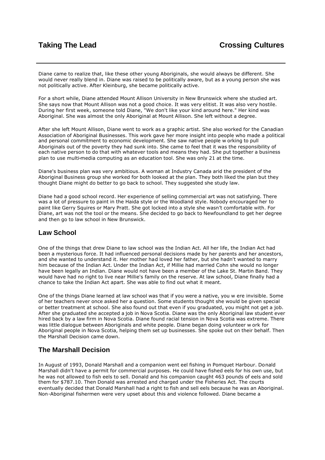Diane came to realize that, like these other young Aboriginals, she would always be different. She would never really blend in. Diane was raised to be politically aware, but as a young person she was not politically active. After Kleinburg, she became politically active.

For a short while, Diane attended Mount Allison University in New Brunswick where she studied art. She says now that Mount Allison was not a good choice. It was very elitist. It was also very hostile. During her first week, someone told Diane, "We don't like your kind around here." Her kind was Aboriginal. She was almost the only Aboriginal at Mount Allison. She left without a degree.

After she left Mount Allison, Diane went to work as a graphic artist. She also worked for the Canadian Association of Aboriginal Businesses. This work gave her more insight into people who made a political and personal commitment to economic development. She saw native people w orking to pull Aboriginals out of the poverty they had sunk into. She came to feel that it was the responsibility of each native person to do that with whatever tools and means they had. She put together a business plan to use multi-media computing as an education tool. She was only 21 at the time.

Diane's business plan was very ambitious. A woman at Industry Canada arid the president of the Aboriginal Business group she worked for both looked at the plan. They both liked the plan but they thought Diane might do better to go back to school. They suggested she study law.

Diane had a good school record. Her experience of selling commercial art was not satisfying. There was a lot of pressure to paint in the Haida style or the Woodland style. Nobody encouraged her to paint like Gerry Squires or Mary Pratt. She got locked into a style she wasn't comfortable with. For Diane, art was not the tool or the means. She decided to go back to Newfoundland to get her degree and then go to law school in New Brunswick.

### **Law School**

One of the things that drew Diane to law school was the Indian Act. All her life, the Indian Act had been a mysterious force. It had influenced personal decisions made by her parents and her ancestors, and she wanted to understand it. Her mother had loved her father, but she hadn't wanted to marry him because of the Indian Act. Under the Indian Act, if Millie had married Cohn she would no longer have been legally an Indian. Diane would not have been a member of the Lake St. Martin Band. They would have had no right to live near Millie's family on the reserve. At law school, Diane finally had a chance to take the Indian Act apart. She was able to find out what it meant.

One of the things Diane learned at law school was that if you were a native, you w ere invisible. Some of her teachers never once asked her a question. Some students thought she would be given special or better treatment at school. She also found out that even if you graduated, you might not get a job. After she graduated she accepted a job in Nova Scotia. Diane was the only Aboriginal law student ever hired back by a law firm in Nova Scotia. Diane found racial tension in Nova Scotia was extreme. There was little dialogue between Aboriginals and white people. Diane began doing volunteer w ork for Aboriginal people in Nova Scotia, helping them set up businesses. She spoke out on their behalf. Then the Marshall Decision came down.

## **The Marshall Decision**

In August of 1993, Donald Marshall and a companion went eel fishing in Pomquet Harbour. Donald Marshall didn't have a permit for commercial purposes. He could have fished eels for his own use, but he was not allowed to fish eels to sell. Donald and his companion caught 463 pounds of eels and sold them for \$787.10. Then Donald was arrested and charged under the Fisheries Act. The courts eventually decided that Donald Marshall had a right to fish and sell eels because he was an Aboriginal. Non-Aboriginal fishermen were very upset about this and violence followed. Diane became a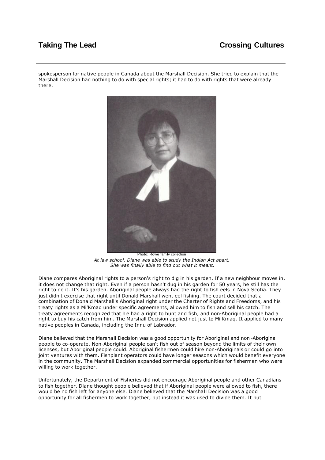# **Taking The Lead Crossing Cultures**

spokesperson for native people in Canada about the Marshall Decision. She tried to explain that the Marshall Decision had nothing to do with special rights; it had to do with rights that were already there.



Photo: Rowe family collection *At law school, Diane was able to study the Indian Act apart. She was finally able to find out what it meant.*

Diane compares Aboriginal rights to a person's right to dig in his garden. If a new neighbour moves in, it does not change that right. Even if a person hasn't dug in his garden for 50 years, he still has the right to do it. It's his garden. Aboriginal people always had the right to fish eels in Nova Scotia. They just didn't exercise that right until Donald Marshall went eel fishing. The court decided that a combination of Donald Marshall's Aboriginal right under the Charter of Rights and Freedoms, and his treaty rights as a Mi'Kmaq under specific agreements, allowed him to fish and sell his catch. The treaty agreements recognized that h e had a right to hunt and fish, and non-Aboriginal people had a right to buy his catch from him. The Marshall Decision applied not just to Mi'Kmaq. It applied to many native peoples in Canada, including the Innu of Labrador.

Diane believed that the Marshall Decision was a good opportunity for Aboriginal and non -Aboriginal people to co-operate. Non-Aboriginal people can't fish out of season beyond the limits of their own licenses, but Aboriginal people could. Aboriginal fishermen could hire non-Aboriginals or could go into joint ventures with them. Fishplant operators could have longer seasons which would benefit everyone in the community. The Marshall Decision expanded commercial opportunities for fishermen who were willing to work together.

Unfortunately, the Department of Fisheries did not encourage Aboriginal people and other Canadians to fish together. Diane thought people believed that if Aboriginal people were allowed to fish, there would be no fish left for anyone else. Diane believed that the Marshall Decision was a good opportunity for all fishermen to work together, but instead it was used to divide them. It put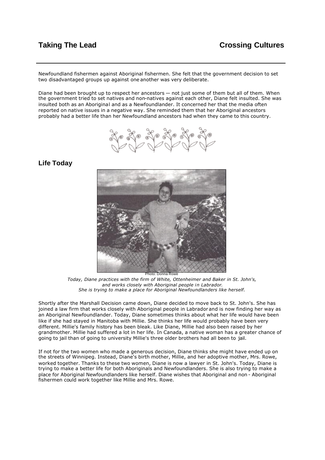Newfoundland fishermen against Aboriginal fishermen. She felt that the government decision to set two disadvantaged groups up against one another was very deliberate.

Diane had been brought up to respect her ancestors — not just some of them but all of them. When the government tried to set natives and non-natives against each other, Diane felt insulted. She was insulted both as an Aboriginal and as a Newfoundlander. It concerned her that the media often reported on native issues in a negative way. She reminded them that her Aboriginal ancestors probably had a better life than her Newfoundland ancestors had when they came to this country.



## **Life Today**



*Today, Diane practices with the firm of White, Ottenheimer and Baker in St. John's, and works closely with Aboriginal people in Labrador. She is trying to make a place for Aboriginal Newfoundlanders like herself.*

Shortly after the Marshall Decision came down, Diane decided to move back to St. John's. She has joined a law firm that works closely with Aboriginal people in Labrador and is now finding her way as an Aboriginal Newfoundlander. Today, Diane sometimes thinks about what her life would have been like if she had stayed in Manitoba with Millie. She thinks her life would probably have been very different. Millie's family history has been bleak. Like Diane, Millie had also been raised by her grandmother. Millie had suffered a lot in her life. In Canada, a native woman has a greater chance of going to jail than of going to university Millie's three older brothers had all been to jail.

If not for the two women who made a generous decision, Diane thinks she might have ended up on the streets of Winnipeg. Instead, Diane's birth mother, Millie, and her adoptive mother, Mrs. Rowe, worked together. Thanks to these two women, Diane is now a lawyer in St. John's. Today, Diane is trying to make a better life for both Aboriginals and Newfoundlanders. She is also trying to make a place for Aboriginal Newfoundlanders like herself. Diane wishes that Aboriginal and non - Aboriginal fishermen could work together like Millie and Mrs. Rowe.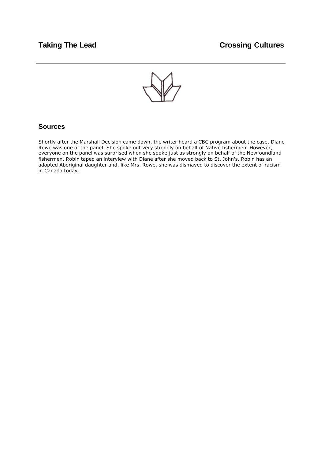

### **Sources**

Shortly after the Marshall Decision came down, the writer heard a CBC program about the case. Diane Rowe was one of the panel. She spoke out very strongly on behalf of Native fishermen. However, everyone on the panel was surprised when she spoke just as strongly on behalf of the Newfoundland fishermen. Robin taped an interview with Diane after she moved back to St. John's. Robin has an adopted Aboriginal daughter and, like Mrs. Rowe, she was dismayed to discover the extent of racism in Canada today.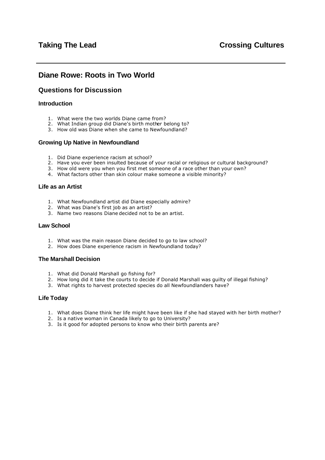## <span id="page-22-0"></span>**Diane Rowe: Roots in Two World**

## **Questions for Discussion**

#### **Introduction**

- 1. What were the two worlds Diane came from?
- 2. What Indian group did Diane's birth mother belong to?
- 3. How old was Diane when she came to Newfoundland?

#### **Growing Up Native in Newfoundland**

- 1. Did Diane experience racism at school?
- 2. Have you ever been insulted because of your racial or religious or cultural background?
- 3. How old were you when you first met someone of a race other than your own?
- 4. What factors other than skin colour make someone a visible minority?

#### **Life as an Artist**

- 1. What Newfoundland artist did Diane especially admire?
- 2. What was Diane's first job as an artist?
- 3. Name two reasons Diane decided not to be an artist.

#### **Law School**

- 1. What was the main reason Diane decided to go to law school?
- 2. How does Diane experience racism in Newfoundland today?

#### **The Marshall Decision**

- 1. What did Donald Marshall go fishing for?
- 2. How long did it take the courts to decide if Donald Marshall was guilty of illegal fishing?
- 3. What rights to harvest protected species do all Newfoundlanders have?

#### **Life Today**

- 1. What does Diane think her life might have been like if she had stayed with her birth mother?
- 2. Is a native woman in Canada likely to go to University?
- 3. Is it good for adopted persons to know who their birth parents are?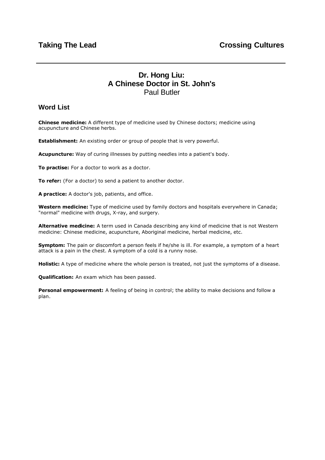# **Dr. Hong Liu: A Chinese Doctor in St. John's** Paul Butler

## <span id="page-23-0"></span>**Word List**

**Chinese medicine:** A different type of medicine used by Chinese doctors; medicine using acupuncture and Chinese herbs.

**Establishment:** An existing order or group of people that is very powerful.

**Acupuncture:** Way of curing illnesses by putting needles into a patient's body.

**To practise:** For a doctor to work as a doctor.

**To refer:** (For a doctor) to send a patient to another doctor.

**A practice:** A doctor's job, patients, and office.

**Western medicine:** Type of medicine used by family doctors and hospitals everywhere in Canada; "normal" medicine with drugs, X-ray, and surgery.

**Alternative medicine:** A term used in Canada describing any kind of medicine that is not Western medicine: Chinese medicine, acupuncture, Aboriginal medicine, herbal medicine, etc.

**Symptom:** The pain or discomfort a person feels if he/she is ill. For example, a symptom of a heart attack is a pain in the chest. A symptom of a cold is a runny nose.

**Holistic:** A type of medicine where the whole person is treated, not just the symptoms of a disease.

**Qualification:** An exam which has been passed.

**Personal empowerment:** A feeling of being in control; the ability to make decisions and follow a plan.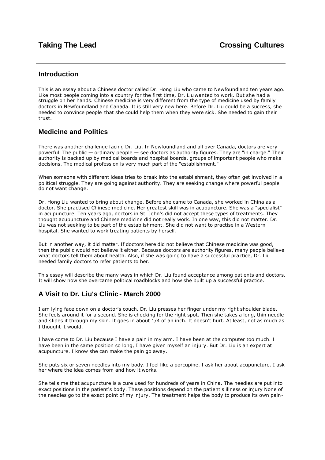### **Introduction**

This is an essay about a Chinese doctor called Dr. Hong Liu who came to Newfoundland ten years ago. Like most people coming into a country for the first time, Dr. Liu wanted to work. But she had a struggle on her hands. Chinese medicine is very different from the type of medicine used by family doctors in Newfoundland and Canada. It is still very new here. Before Dr. Liu could be a success, she needed to convince people that she could help them when they were sick. She needed to gain their trust.

## **Medicine and Politics**

There was another challenge facing Dr. Liu. In Newfoundland and all over Canada, doctors are very powerful. The public — ordinary people — see doctors as authority figures. They are "in charge." Their authority is backed up by medical boards and hospital boards, groups of important people who make decisions. The medical profession is very much part of the "establishment."

When someone with different ideas tries to break into the establishment, they often get involved in a political struggle. They are going against authority. They are seeking change where powerful people do not want change.

Dr. Hong Liu wanted to bring about change. Before she came to Canada, she worked in China as a doctor. She practised Chinese medicine. Her greatest skill was in acupuncture. She was a "specialist" in acupuncture. Ten years ago, doctors in St. John's did not accept these types of treatments. They thought acupuncture and Chinese medicine did not really work. In one way, this did not matter. Dr. Liu was not seeking to be part of the establishment. She did not want to practise in a Western hospital. She wanted to work treating patients by herself.

But in another way, it did matter. If doctors here did not believe that Chinese medicine was good, then the public would not believe it either. Because doctors are authority figures, many people believe what doctors tell them about health. Also, if she was going to have a successful practice, Dr. Liu needed family doctors to refer patients to her.

This essay will describe the many ways in which Dr. Liu found acceptance among patients and doctors. It will show how she overcame political roadblocks and how she built up a successful practice.

## **A Visit to Dr. Liu's Clinic - March 2000**

I am lying face down on a doctor's couch. Dr. Liu presses her finger under my right shoulder blade. She feels around it for a second. She is checking for the right spot. Then she takes a long, thin needle and slides it through my skin. It goes in about  $1/4$  of an inch. It doesn't hurt. At least, not as much as I thought it would.

I have come to Dr. Liu because I have a pain in my arm. I have been at the computer too much. I have been in the same position so long, I have given myself an injury. But Dr. Liu is an expert at acupuncture. I know she can make the pain go away.

She puts six or seven needles into my body. I feel like a porcupine. I ask her about acupuncture. I ask her where the idea comes from and how it works.

She tells me that acupuncture is a cure used for hundreds of years in China. The needles are put into exact positions in the patient's body. These positions depend on the patient's illness or injury None of the needles go to the exact point of my injury. The treatment helps the body to produce its own pain-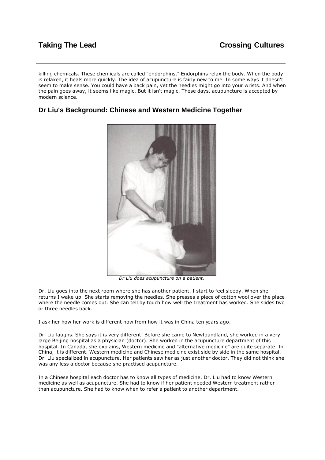killing chemicals. These chemicals are called "endorphins." Endorphins relax the body. When the body is relaxed, it heals more quickly. The idea of acupuncture is fairly new to me. In some ways it doesn't seem to make sense. You could have a back pain, yet the needles might go into your wrists. And when the pain goes away, it seems like magic. But it isn't magic. These days, acupuncture is accepted by modern science.

## **Dr Liu's Background: Chinese and Western Medicine Together**



*Dr Liu does acupuncture on a patient.*

Dr. Liu goes into the next room where she has another patient. I start to feel sleepy. When she returns I wake up. She starts removing the needles. She presses a piece of cotton wool over the place where the needle comes out. She can tell by touch how well the treatment has worked. She slides two or three needles back.

I ask her how her work is different now from how it was in China ten years ago.

Dr. Liu laughs. She says it is very different. Before she came to Newfoundland, she worked in a very large Beijing hospital as a physician (doctor). She worked in the acupuncture department of this hospital. In Canada, she explains, Western medicine and "alternative medicine" are quite separate. In China, it is different. Western medicine and Chinese medicine exist side by side in the same hospital. Dr. Liu specialized in acupuncture. Her patients saw her as just another doctor. They did not think she was any less a doctor because she practised acupuncture.

In a Chinese hospital each doctor has to know all types of medicine. Dr. Liu had to know Western medicine as well as acupuncture. She had to know if her patient needed Western treatment rather than acupuncture. She had to know when to refer a patient to another department.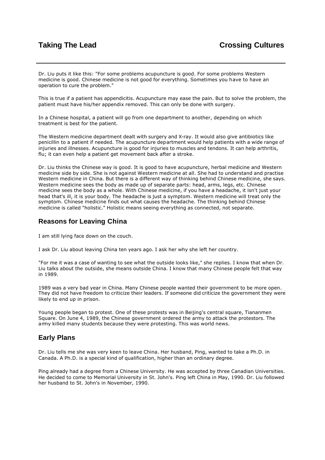Dr. Liu puts it like this: "For some problems acupuncture is good. For some problems Western medicine is good. Chinese medicine is not good for everything. Sometimes you have to have an operation to cure the problem."

This is true if a patient has appendicitis. Acupuncture may ease the pain. But to solve the problem, the patient must have his/her appendix removed. This can only be done with surgery.

In a Chinese hospital, a patient will go from one department to another, depending on which treatment is best for the patient.

The Western medicine department dealt with surgery and X-ray. It would also give antibiotics like penicillin to a patient if needed. The acupuncture department would help patients with a wide range of injuries and illnesses. Acupuncture is good for injuries to muscles and tendons. It can help arthritis, flu; it can even help a patient get movement back after a stroke.

Dr. Liu thinks the Chinese way is good. It is good to have acupuncture, herbal medicine and Western medicine side by side. She is not against Western medicine at all. She had to understand and practise Western medicine in China. But there is a different way of thinking behind Chinese medicine, she says. Western medicine sees the body as made up of separate parts: head, arms, legs, etc. Chinese medicine sees the body as a whole. With Chinese medicine, if you have a headache, it isn't just your head that's ill, it is your body. The headache is just a symptom. Western medicine will treat only the symptom. Chinese medicine finds out what causes the headache. The thinking behind Chinese medicine is called "holistic." Holistic means seeing everything as connected, not separate.

### **Reasons for Leaving China**

I am still lying face down on the couch.

I ask Dr. Liu about leaving China ten years ago. I ask her why she left her country.

"For me it was a case of wanting to see what the outside looks like," she replies. I know that when Dr. Liu talks about the outside, she means outside China. I know that many Chinese people felt that way in 1989.

1989 was a very bad year in China. Many Chinese people wanted their government to be more open. They did not have freedom to criticize their leaders. If someone did criticize the government they were likely to end up in prison.

Young people began to protest. One of these protests was in Beijing's central square, Tiananmen Square. On June 4, 1989, the Chinese government ordered the army to attack the protestors. The army killed many students because they were protesting. This was world news.

## **Early Plans**

Dr. Liu tells me she was very keen to leave China. Her husband, Ping, wanted to take a Ph.D. in Canada. A Ph.D. is a special kind of qualification, higher than an ordinary degree.

Ping already had a degree from a Chinese University. He was accepted by three Canadian Universities. He decided to come to Memorial University in St. John's. Ping left China in May, 1990. Dr. Liu followed her husband to St. John's in November, 1990.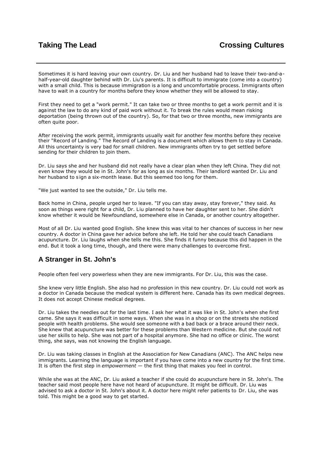Sometimes it is hard leaving your own country. Dr. Liu and her husband had to leave their two-and-ahalf-year-old daughter behind with Dr. Liu's parents. It is difficult to immigrate (come into a country) with a small child. This is because immigration is a long and uncomfortable process. Immigrants often have to wait in a country for months before they know whether they will be allowed to stay.

First they need to get a "work permit." It can take two or three months to get a work permit and it is against the law to do any kind of paid work without it. To break the rules would mean risking deportation (being thrown out of the country). So, for that two or three months, new immigrants are often quite poor.

After receiving the work permit, immigrants usually wait for another few months before they receive their "Record of Landing." The Record of Landing is a document which allows them to stay in Canada. All this uncertainty is very bad for small children. New immigrants often try to get settled before sending for their children to join them.

Dr. Liu says she and her husband did not really have a clear plan when they left China. They did not even know they would be in St. John's for as long as six months. Their landlord wanted Dr. Liu and her husband to s ign a six-month lease. But this seemed too long for them.

"We just wanted to see the outside," Dr. Liu tells me.

Back home in China, people urged her to leave. "If you can stay away, stay forever," they said. As soon as things were right for a child, Dr. Liu planned to have her daughter sent to her. She didn't know whether it would be Newfoundland, somewhere else in Canada, or another country altogether.

Most of all Dr. Liu wanted good English. She knew this was vital to her chances of success in her new country. A doctor in China gave her advice before she left. He told her she could teach Canadians acupuncture. Dr. Liu laughs when she tells me this. She finds it funny because this did happen in the end. But it took a long time, though, and there were many challenges to overcome first.

### **A Stranger in St. John's**

People often feel very powerless when they are new immigrants. For Dr. Liu, this was the case.

She knew very little English. She also had no profession in this new country. Dr. Liu could not work as a doctor in Canada because the medical system is different here. Canada has its own medical degrees. It does not accept Chinese medical degrees.

Dr. Liu takes the needles out for the last time. I ask her what it was like in St. John's when she first came. She says it was difficult in some ways. When she was in a shop or on the streets she noticed people with health problems. She would see someone with a bad back or a brace around their neck. She knew that acupuncture was better for these problems than Western medicine. But she could not use her skills to help. She was not part of a hospital anymore. She had no office or clinic. The worst thing, she says, was not knowing the English language.

Dr. Liu was taking classes in English at the Association for New Canadians (ANC). The ANC helps new immigrants. Learning the language is important if you have come into a new country for the first time. It is often the first step in *empowerment* — the first thing that makes you feel in control.

While she was at the ANC, Dr. Liu asked a teacher if she could do acupuncture here in St. John's. The teacher said most people here have not heard of acupuncture. It might be difficult. Dr. Liu was advised to ask a doctor in St. John's about it. A doctor here might refer patients to Dr. Liu, she was told. This might be a good way to get started.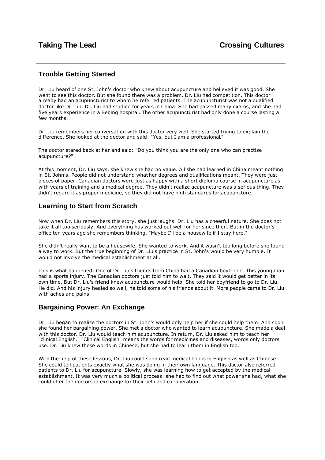## **Trouble Getting Started**

Dr. Liu heard of one St. John's doctor who knew about acupuncture and believed it was good. She went to see this doctor. But she found there was a problem. Dr. Liu had competition. This doctor already had an acupuncturist to whom he referred patients. The acupuncturist was not a qualified doctor like Dr. Liu. Dr. Liu had studied for years in China. She had passed many exams, and she had five years experience in a Beijing hospital. The other acupuncturist had only done a course lasting a few months.

Dr. Liu remembers her conversation with this doctor very well. She started trying to explain the difference. She looked at the doctor and said: "Yes, but I am a professional."

The doctor stared back at her and said: "Do you think you are the only one who can practise acupuncture?"

At this moment, Dr. Liu says, she knew she had no value. All she had learned in China meant nothing in St. John's. People did not understand what her degrees and qualifications meant. They were just pieces of paper. Canadian doctors were just as happy with a short diploma course in acupuncture as with years of training and a medical degree. They didn't realize acupuncture was a serious thing. They didn't regard it as proper medicine, so they did not have high standards for acupuncture.

### **Learning to Start from Scratch**

Now when Dr. Liu remembers this story, she just laughs. Dr. Liu has a cheerful nature. She does not take it all too seriously. And everything has worked out well for her since then. But in the doctor's office ten years ago she remembers thinking, "Maybe I'll be a housewife if I stay here."

She didn't really want to be a housewife. She wanted to work. And it wasn't too long before she found a way to work. But the true beginning of Dr. Liu's practice in St. John's would be very humble. It would not involve the medical establishment at all.

This is what happened: One of Dr. Liu's friends from China had a Canadian boyfriend. This young man had a sports injury. The Canadian doctors just told him to wait. They said it would get better in its own time. But Dr. Liu's friend knew acupuncture would help. She told her boyfriend to go to Dr. Liu. He did. And his injury healed so well, he told some of his friends about it. More people came to Dr. Liu with aches and pains

### **Bargaining Power: An Exchange**

Dr. Liu began to realize the doctors in St. John's would only help her if she could help them. And soon she found her bargaining power. She met a doctor who wanted to learn acupuncture. She made a deal with this doctor. Dr. Liu would teach him acupuncture. In return, Dr. Liu asked him to teach her "clinical English." "Clinical English" means the words for medicines and diseases, words only doctors use. Dr. Liu knew these words in Chinese, but she had to learn them in English too.

With the help of these lessons, Dr. Liu could soon read medical books in English as well as Chinese. She could tell patients exactly what she was doing in their own language. This doctor also referred patients to Dr. Liu for acupuncture. Slowly, she was learning how to get accepted by the medical establishment. It was very much a political process: she had to find out what power she had, what she could offer the doctors in exchange for their help and co -operation.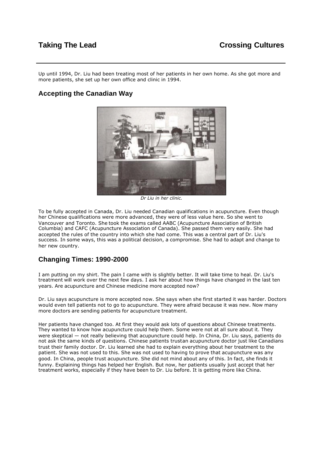Up until 1994, Dr. Liu had been treating most of her patients in her own home. As she got more and more patients, she set up her own office and clinic in 1994.

## **Accepting the Canadian Way**



*Dr Liu in her clinic.* 

To be fully accepted in Canada, Dr. Liu needed Canadian qualifications in acupuncture. Even though her Chinese qualifications were more advanced, they were of less value here. So she went to Vancouver and Toronto. She took the exams called AABC (Acupuncture Association of British Columbia) and CAFC (Acupuncture Association of Canada). She passed them very easily. She had accepted the rules of the country into which she had come. This was a central part of Dr. Liu's success. In some ways, this was a political decision, a compromise. She had to adapt and change to her new country.

### **Changing Times: 1990-2000**

I am putting on my shirt. The pain I came with is slightly better. It will take time to heal. Dr. Liu's treatment will work over the next few days. I ask her about how things have changed in the last ten years. Are acupuncture and Chinese medicine more accepted now?

Dr. Liu says acupuncture is more accepted now. She says when she first started it was harder. Doctors would even tell patients not to go to acupuncture. They were afraid because it was new. Now many more doctors are sending patients for acupuncture treatment.

Her patients have changed too. At first they would ask lots of questions about Chinese treatments. They wanted to know how acupuncture could help them. Some were not at all sure about it. They were skeptical — not really believing that acupuncture could help. In China, Dr. Liu says, patients do not ask the same kinds of questions. Chinese patients trustan acupuncture doctor just like Canadians trust their family doctor. Dr. Liu learned she had to explain everything about her treatment to the patient. She was not used to this. She was not used to having to prove that acupuncture was any good. In China, people trust acupuncture. She did not mind about any of this. In fact, she finds it funny. Explaining things has helped her English. But now, her patients usually just accept that her treatment works, especially if they have been to Dr. Liu before. It is getting more like China.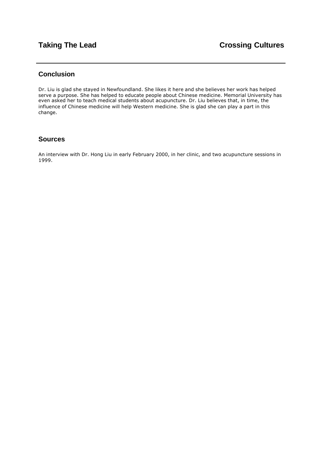## **Conclusion**

Dr. Liu is glad she stayed in Newfoundland. She likes it here and she believes her work has helped serve a purpose. She has helped to educate people about Chinese medicine. Memorial University has even asked her to teach medical students about acupuncture. Dr. Liu believes that, in time, the influence of Chinese medicine will help Western medicine. She is glad she can play a part in this change.

### **Sources**

An interview with Dr. Hong Liu in early February 2000, in her clinic, and two acupuncture sessions in 1999.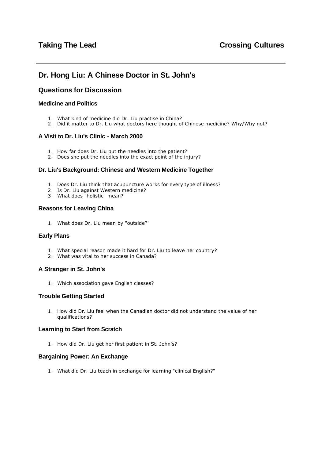# <span id="page-31-0"></span>**Dr. Hong Liu: A Chinese Doctor in St. John's**

## **Questions for Discussion**

#### **Medicine and Politics**

- 1. What kind of medicine did Dr. Liu practise in China?
- 2. Did it matter to Dr. Liu what doctors here thought of Chinese medicine? Why/Why not?

#### **A Visit to Dr. Liu's Clinic - March 2000**

- 1. How far does Dr. Liu put the needles into the patient?
- 2. Does she put the needles into the exact point of the injury?

#### **Dr. Liu's Background: Chinese and Western Medicine Together**

- 1. Does Dr. Liu think that acupuncture works for every type of illness?
- 2. Is Dr. Liu against Western medicine?
- 3. What does "holistic" mean?

#### **Reasons for Leaving China**

1. What does Dr. Liu mean by "outside?"

#### **Early Plans**

- 1. What special reason made it hard for Dr. Liu to leave her country?
- 2. What was vital to her success in Canada?

#### **A Stranger in St. John's**

1. Which association gave English classes?

#### **Trouble Getting Started**

1. How did Dr. Liu feel when the Canadian doctor did not understand the value of her qualifications?

#### **Learning to Start from Scratch**

1. How did Dr. Liu get her first patient in St. John's?

#### **Bargaining Power: An Exchange**

1. What did Dr. Liu teach in exchange for learning "clinical English?"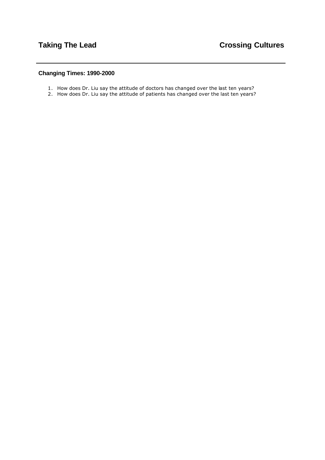## **Changing Times: 1990-2000**

- 1. How does Dr. Liu say the attitude of doctors has changed over the last ten years?
- 2. How does Dr. Liu say the attitude of patients has changed over the last ten years?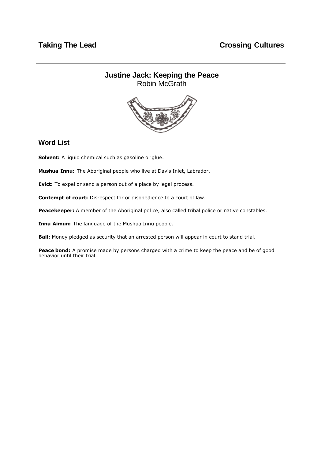## <span id="page-33-0"></span>**Justine Jack: Keeping the Peace** Robin McGrath



### **Word List**

**Solvent:** A liquid chemical such as gasoline or glue.

**Mushua Innu:** The Aboriginal people who live at Davis Inlet, Labrador.

**Evict:** To expel or send a person out of a place by legal process.

**Contempt of court:** Disrespect for or disobedience to a court of law.

**Peacekeeper:** A member of the Aboriginal police, also called tribal police or native constables.

**Innu Aimun:** The language of the Mushua Innu people.

**Bail:** Money pledged as security that an arrested person will appear in court to stand trial.

Peace bond: A promise made by persons charged with a crime to keep the peace and be of good behavior until their trial.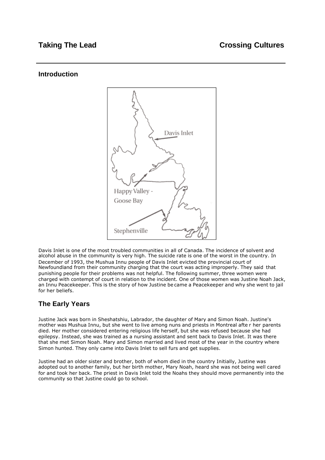### **Introduction**



Davis Inlet is one of the most troubled communities in all of Canada. The incidence of solvent and alcohol abuse in the community is very high. The suicide rate is one of the worst in the country. In December of 1993, the Mushua Innu people of Davis Inlet evicted the provincial court of Newfoundland from their community charging that the court was acting improperly. They said that punishing people for their problems was not helpful. The following summer, three women were charged with contempt of court in relation to the incident. One of those women was Justine Noah Jack, an Innu Peacekeeper. This is the story of how Justine be came a Peacekeeper and why she went to jail for her beliefs.

# **The Early Years**

Justine Jack was born in Sheshatshiu, Labrador, the daughter of Mary and Simon Noah. Justine's mother was Mushua Innu, but she went to live among nuns and priests in Montreal afte r her parents died. Her mother considered entering religious life herself, but she was refused because she had epilepsy. Instead, she was trained as a nursing assistant and sent back to Davis Inlet. It was there that she met Simon Noah. Mary and Simon married and lived most of the year in the country where Simon hunted. They only came into Davis Inlet to sell furs and get supplies.

Justine had an older sister and brother, both of whom died in the country Initially, Justine was adopted out to another family, but her birth mother, Mary Noah, heard she was not being well cared for and took her back. The priest in Davis Inlet told the Noahs they should move permanently into the community so that Justine could go to school.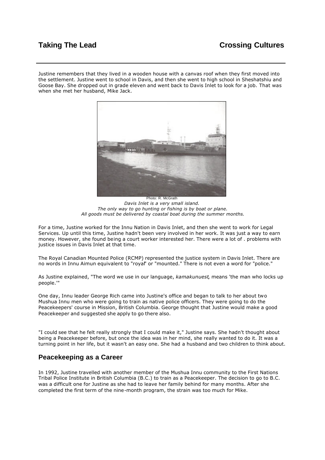# **Taking The Lead Crossing Cultures**

Justine remembers that they lived in a wooden house with a canvas roof when they first moved into the settlement. Justine went to school in Davis, and then she went to high school in Sheshatshiu and Goose Bay. She dropped out in grade eleven and went back to Davis Inlet to look for a job. That was when she met her husband, Mike Jack.



Photo: R. McGrath *Davis Inlet is a very small island. The only way to go hunting or fishing is by boat or plane. All goods must be delivered by coastal boat during the summer months.*

For a time, Justine worked for the Innu Nation in Davis Inlet, and then she went to work for Legal Services. Up until this time, Justine hadn't been very involved in her work. It was just a way to earn money. However, she found being a court worker interested her. There were a lot of . problems with justice issues in Davis Inlet at that time.

The Royal Canadian Mounted Police (RCMP) represented the justice system in Davis Inlet. There are no words in Innu Aimun equivalent to "royal" or "mounted." There is not even a word for "police."

As Justine explained, "The word we use in our language, *kamakunuest*, means 'the man who locks up people.'"

One day, Innu leader George Rich came into Justine's office and began to talk to her about two Mushua Innu men who were going to train as native police officers. They were going to do the Peacekeepers' course in Mission, British Columbia. George thought that Justine would make a good Peacekeeper and suggested she apply to go there also.

"I could see that he felt really strongly that I could make it," Justine says. She hadn't thought about being a Peacekeeper before, but once the idea was in her mind, she really wanted to do it. It was a turning point in her life, but it wasn't an easy one. She had a husband and two children to think about.

#### **Peacekeeping as a Career**

In 1992, Justine travelled with another member of the Mushua Innu community to the First Nations Tribal Police Institute in British Columbia (B.C.) to train as a Peacekeeper. The decision to go to B.C. was a difficult one for Justine as she had to leave her family behind for many months. After she completed the first term of the nine-month program, the strain was too much for Mike.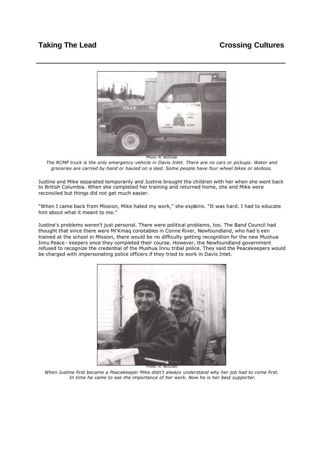# **Taking The Lead Crossing Cultures**



*The RCMP truck is the only emergency vehicle in Davis Inlet. There are no cars or pickups. Water and groceries are carried by hand or hauled on a sled. Some people have four wheel bikes or skidoos.* 

Justine and Mike separated temporarily and Justine brought the children with her when she went back to British Columbia. When she completed her training and returned home, she and Mike were reconciled but things did not get much easier.

"When I came back from Mission, Mike hated my work," she exphins. "It was hard. I had to educate him about what it meant to me."

Justine's problems weren't just personal. There were political problems, too. The Band Council had thought that since there were Mi'Kmaq constables in Conne River, Newfoundland, who had b een trained at the school in Mission, there would be no difficulty getting recognition for the new Mushua Innu Peace - keepers once they completed their course. However, the Newfoundland government refused to recognize the credential of the Mushua Innu tribal police. They said the Peacekeepers would be charged with impersonating police officers if they tried to work in Davis Inlet.



*When Justine first became a Peacekeeper Mike didn't always understand why her job had to come first. In time he came to see the importance of her work. Now he is her best supporter.*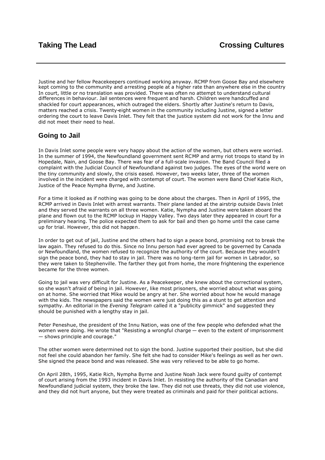Justine and her fellow Peacekeepers continued working anyway. RCMP from Goose Bay and elsewhere kept coming to the community and arresting people at a higher rate than anywhere else in the country In court, little or no translation was provided. There was often no attempt to understand cultural differences in behaviour. Jail sentences were frequent and harsh. Children were handcuffed and shackled for court appearances, which outraged the elders. Shortly after Justine's return to Davis, matters reached a crisis. Twenty-eight women in the community including Justine, signed a letter ordering the court to leave Davis Inlet. They felt that the justice system did not work for the Innu and did not meet their need to heal.

## **Going to Jail**

In Davis Inlet some people were very happy about the action of the women, but others were worried. In the summer of 1994, the Newfoundland government sent RCMP and army riot troops to stand by in Hopedale, Nain, and Goose Bay. There was fear of a full-scale invasion. The Band Council filed a complaint with the Judicial Council of Newfoundland against two judges. The eyes of the world were on the tiny community and slowly, the crisis eased. However, two weeks later, three of the women involved in the incident were charged with contempt of court. The women were Band Chief Katie Rich, Justice of the Peace Nympha Byrne, and Justine.

For a time it looked as if nothing was going to be done about the charges. Then in April of 1995, the RCMP arrived in Davis Inlet with arrest warrants. Their plane landed at the airstrip outside Davis Inlet and they served the warrants on all three women. Katie, Nympha and Justine were taken aboard the plane and flown out to the RCMP lockup in Happy Valley. Two days later they appeared in court for a preliminary hearing. The police expected them to ask for bail and then go home until the case came up for trial. However, this did not happen.

In order to get out of jail, Justine and the others had to sign a peace bond, promising not to break the law again. They refused to do this. Since no Innu person had ever agreed to be governed by Canada or Newfoundland, the women refused to recognize the authority of the court. Because they wouldn't sign the peace bond, they had to stay in jail. There was no long-term jail for women in Labrador, so they were taken to Stephenville. The farther they got from home, the more frightening the experience became for the three women.

Going to jail was very difficult for Justine. As a Peacekeeper, she knew about the correctional system, so she wasn't afraid of being in jail. However, like most prisoners, she worried about what was going on at home. She worried that Mike would be angry at her. She worried about how he would manage with the kids. The newspapers said the women were just doing this as a stunt to get attention and sympathy. An editorial in the *Evening Telegram* called it a "publicity gimmick" and suggested they should be punished with a lengthy stay in jail.

Peter Peneshue, the president of the Innu Nation, was one of the few people who defended what the women were doing. He wrote that "Resisting a wrongful charge — even to the extent of imprisonment — shows principle and courage."

The other women were determined not to sign the bond. Justine supported their position, but she did not feel she could abandon her family. She felt she had to consider Mike's feelings as well as her own. She signed the peace bond and was released. She was very relieved to be able to go home.

On April 28th, 1995, Katie Rich, Nympha Byrne and Justine Noah Jack were found guilty of contempt of court arising from the 1993 incident in Davis Inlet. In resisting the authority of the Canadian and Newfoundland judicial system, they broke the law. They did not use threats, they did not use violence, and they did not hurt anyone, but they were treated as criminals and paid for their political actions.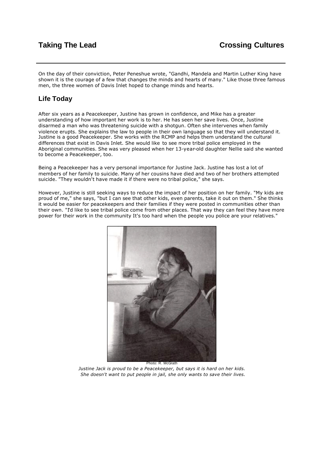On the day of their conviction, Peter Peneshue wrote, "Gandhi, Mandela and Martin Luther King have shown it is the courage of a few that changes the minds and hearts of many." Like those three famous men, the three women of Davis Inlet hoped to change minds and hearts.

## **Life Today**

After six years as a Peacekeeper, Justine has grown in confidence, and Mike has a greater understanding of how important her work is to her. He has seen her save lives. Once, Justine disarmed a man who was threatening suicide with a shotgun. Often she intervenes when family violence erupts. She explains the law to people in their own language so that they will understand it. Justine is a good Peacekeeper. She works with the RCMP and helps them understand the cultural differences that exist in Davis Inlet. She would like to see more tribal police employed in the Aboriginal communities. She was very pleased when her 13-year-old daughter Nellie said she wanted to become a Peacekeeper, too.

Being a Peacekeeper has a very personal importance for Justine Jack. Justine has lost a lot of members of her family to suicide. Many of her cousins have died and two of her brothers attempted suicide. "They wouldn't have made it if there were no tribal police," she says.

However, Justine is still seeking ways to reduce the impact of her position on her family. "My kids are proud of me," she says, "but I can see that other kids, even parents, take it out on them." She thinks it would be easier for peacekeepers and their families if they were posted in communities other than their own. "I'd like to see tribal police come from other places. That way they can feel they have more power for their work in the community It's too hard when the people you police are your relatives."



*Justine Jack is proud to be a Peacekeeper, but says it is hard on her kids. She doesn't want to put people in jail, she only wants to save their lives.*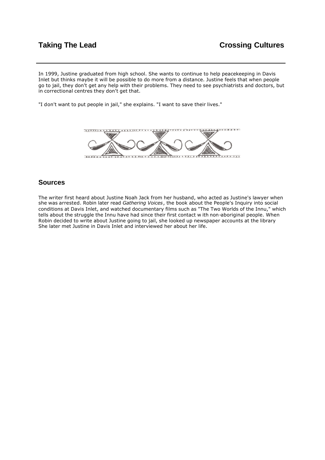In 1999, Justine graduated from high school. She wants to continue to help peacekeeping in Davis Inlet but thinks maybe it will be possible to do more from a distance. Justine feels that when people go to jail, they don't get any help with their problems. They need to see psychiatrists and doctors, but in correctional centres they don't get that.

"I don't want to put people in jail," she explains. "I want to save their lives."



## **Sources**

The writer first heard about Justine Noah Jack from her husband, who acted as Justine's lawyer when she was arrested. Robin later read *Gathering Voices*, the book about the People's Inquiry into social conditions at Davis Inlet, and watched documentary films such as "The Two Worlds of the Innu," which tells about the struggle the Innu have had since their first contact w ith non-aboriginal people. When Robin decided to write about Justine going to jail, she looked up newspaper accounts at the library She later met Justine in Davis Inlet and interviewed her about her life.